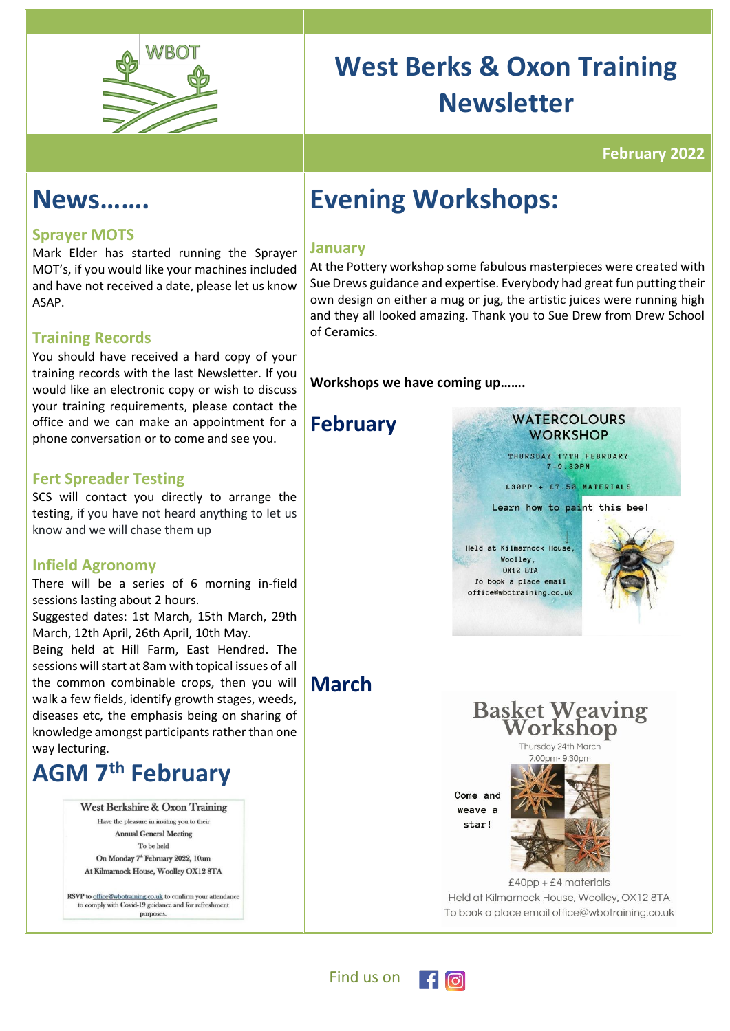

# **West Berks & Oxon Training Newsletter**

### **February 2022**

### **News…….**

### **Sprayer MOTS**

Mark Elder has started running the Sprayer MOT's, if you would like your machines included and have not received a date, please let us know ASAP.

### **Training Records**

You should have received a hard copy of your training records with the last Newsletter. If you would like an electronic copy or wish to discuss your training requirements, please contact the office and we can make an appointment for a phone conversation or to come and see you.

#### **Fert Spreader Testing**

SCS will contact you directly to arrange the testing, if you have not heard anything to let us know and we will chase them up

#### **Infield Agronomy**

There will be a series of 6 morning in-field sessions lasting about 2 hours.

Suggested dates: 1st March, 15th March, 29th March, 12th April, 26th April, 10th May.

Being held at Hill Farm, East Hendred. The sessions will start at 8am with topical issues of all the common combinable crops, then you will walk a few fields, identify growth stages, weeds, diseases etc, the emphasis being on sharing of knowledge amongst participants rather than one way lecturing.

## **AGM 7 th February**

West Berkshire & Oxon Training Have the pleasure in inviting you to their Annual General Meeting To be held On Monday 7<sup>\*</sup> February 2022, 10am At Kilmarnock House, Woolley OX12 8TA

RSVP to office@wbotraining.co.uk to confirm your attendance<br>to comply with Covid-19 guidance and for refreshment purposes

## **Evening Workshops:**

#### **January**

At the Pottery workshop some fabulous masterpieces were created with Sue Drews guidance and expertise. Everybody had great fun putting their own design on either a mug or jug, the artistic juices were running high and they all looked amazing. Thank you to Sue Drew from Drew School of Ceramics.

**Workshops we have coming up…….**

### **February**

**March** 



**WATERCOLOURS** 

Learn how to paint this bee!

Held at Kilmarnock House. Woolley, **OX12 8TA** To book a place email office@wbotraining.co.uk



**Basket Weaving** orkshop

hursday 24th March

Come and Weave a star!



 $£40pp + £4$  materials Held at Kilmarnock House, Woolley, OX12 8TA To book a place email office@wbotraining.co.uk